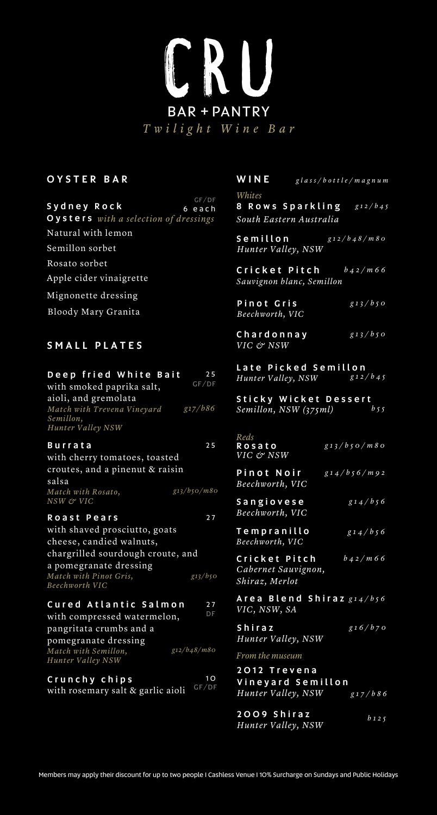

## OYSTER BAR WINE

### Sydney Rock O y s t e r s *with a selection of dressings* Natural with lemon 6 e a c h Mignonette dressing Apple cider vinaigrette Bloody Mary Granita Semillon sorbet Rosato sorbet GF/DF

### SMALL PLATES

| Deep fried White Bait<br>with smoked paprika salt,<br>aioli, and gremolata<br>Match with Trevena Vineyard<br>Semillon,<br>Hunter Valley NSW                 | 25<br>GF/DF<br>g17/b86     |
|-------------------------------------------------------------------------------------------------------------------------------------------------------------|----------------------------|
| <b>Burrata</b><br>with cherry tomatoes, toasted<br>croutes, and a pinenut & raisin<br>salsa<br>Match with Rosato,                                           | 25<br>g13/b50/m80          |
| NSW & VIC<br><b>Roast Pears</b><br>with shaved prosciutto, goats<br>cheese, candied walnuts,<br>chargrilled sourdough croute, and<br>a pomegranate dressing | 27                         |
| Match with Pinot Gris,<br><b>Beechworth VIC</b><br>Cured Atlantic Salmon<br>with compressed watermelon,<br>pangritata crumbs and a                          | g13/b50<br>27<br>DF        |
| pomegranate dressing<br>Match with Semillon,<br>Hunter Valley NSW<br>Crunchy chips                                                                          | g12/b48/m80<br>10<br>GF/DF |
| with rosemary salt & garlic aioli                                                                                                                           |                            |

#### *g l a s s / b o t t l e / m a g n u m*

8 Rows Sparkling  $g_12/b_45$ *South Eastern Australia Whites*

S e m i l l o n *g 1 2 / b 4 8 / m 8 0 Hunter Valley, NSW*

C r i c k e t P i t c h *b 4 2 / m 6 6 Sauvignon blanc, Semillon*

| Pinot Gris      | $g_13/b_50$ |
|-----------------|-------------|
| Beechworth, VIC |             |

Chardonnay  $g_13/b_50$ *VIC & NSW*

Late Picked Semillon<br>Hunter Vallev, NSW  $\frac{g12/b45}{2}$ *Hun g 1 2 / b 4 5 ter Valley, NSW*

Sticky Wicket Dessert *Semillon, NSW (375ml) b 5 5*

#### *Reds*

| Rosato    | g13/b50/m80 |
|-----------|-------------|
| VIC & NSW |             |

P i n o t N o i r *g 1 4 / b 5 6 / m 9 2 Beechworth, VIC*

S a n g i o v e s e *g 1 4 / b 5 6 Beechworth, VIC*

T e m p r a n i l l o *g 1 4 / b 5 6 Beechworth, VIC*

C r i c k e t P i t c h *b 4 2 / m 6 6 Cabernet Sauvignon, Shiraz, Merlot*

A r e a B l e n d S h i r a z *g 1 4 / b 5 6 VIC, NSW, SA*

 $g_1 6/b_7 0$ *Hunter Valley, NSW*

#### *From the museum*

2012 Trevena Vinevard Semillon *Hunter Valley, NSW g 1 7 / b 8 6*

2 0 0 9 S h i r a z *b* 12 5 *Hunter Valley, NSW*